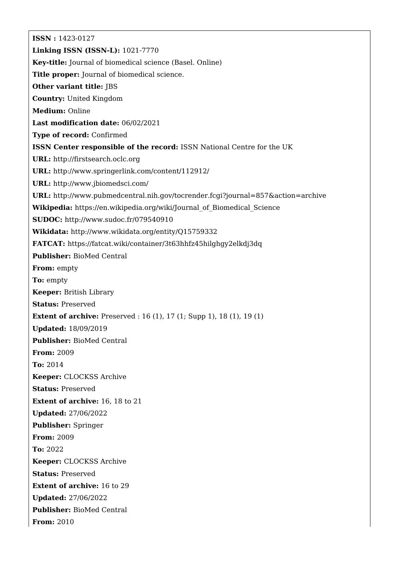**ISSN :** 1423-0127 **Linking ISSN (ISSN-L):** 1021-7770 **Key-title:** Journal of biomedical science (Basel. Online) **Title proper:** Journal of biomedical science. **Other variant title:** JBS **Country:** United Kingdom **Medium:** Online **Last modification date:** 06/02/2021 **Type of record:** Confirmed **ISSN Center responsible of the record:** ISSN National Centre for the UK **URL:** <http://firstsearch.oclc.org> **URL:** <http://www.springerlink.com/content/112912/> **URL:** <http://www.jbiomedsci.com/> **URL:** <http://www.pubmedcentral.nih.gov/tocrender.fcgi?journal=857&action=archive> **Wikipedia:** [https://en.wikipedia.org/wiki/Journal\\_of\\_Biomedical\\_Science](https://en.wikipedia.org/wiki/Journal_of_Biomedical_Science) **SUDOC:** <http://www.sudoc.fr/079540910> **Wikidata:** <http://www.wikidata.org/entity/Q15759332> **FATCAT:** <https://fatcat.wiki/container/3t63hhfz45hilghgy2elkdj3dq> **Publisher:** BioMed Central **From:** empty **To:** empty **Keeper:** British Library **Status:** Preserved **Extent of archive:** Preserved : 16 (1), 17 (1; Supp 1), 18 (1), 19 (1) **Updated:** 18/09/2019 **Publisher:** BioMed Central **From:** 2009 **To:** 2014 **Keeper:** CLOCKSS Archive **Status:** Preserved **Extent of archive:** 16, 18 to 21 **Updated:** 27/06/2022 **Publisher:** Springer **From:** 2009 **To:** 2022 **Keeper:** CLOCKSS Archive **Status:** Preserved **Extent of archive:** 16 to 29 **Updated:** 27/06/2022 **Publisher:** BioMed Central **From:** 2010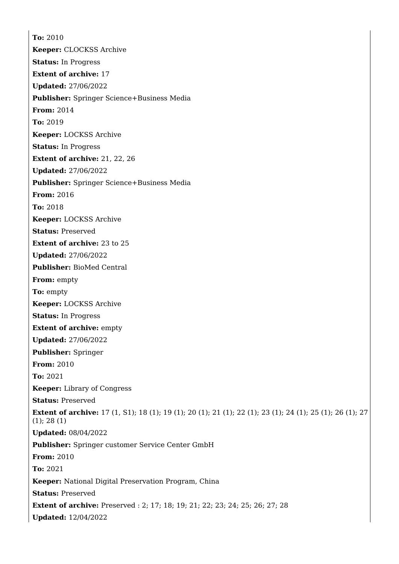**To:** 2010 **Keeper:** CLOCKSS Archive **Status:** In Progress **Extent of archive:** 17 **Updated:** 27/06/2022 **Publisher:** Springer Science+Business Media **From:** 2014 **To:** 2019 **Keeper:** LOCKSS Archive **Status:** In Progress **Extent of archive:** 21, 22, 26 **Updated:** 27/06/2022 **Publisher:** Springer Science+Business Media **From:** 2016 **To:** 2018 **Keeper:** LOCKSS Archive **Status:** Preserved **Extent of archive:** 23 to 25 **Updated:** 27/06/2022 **Publisher:** BioMed Central **From:** empty **To:** empty **Keeper:** LOCKSS Archive **Status:** In Progress **Extent of archive:** empty **Updated:** 27/06/2022 **Publisher:** Springer **From:** 2010 **To:** 2021 **Keeper:** Library of Congress **Status:** Preserved **Extent of archive:** 17 (1, S1); 18 (1); 19 (1); 20 (1); 21 (1); 22 (1); 23 (1); 24 (1); 25 (1); 26 (1); 27 (1); 28 (1) **Updated:** 08/04/2022 **Publisher:** Springer customer Service Center GmbH **From:** 2010 **To:** 2021 **Keeper:** National Digital Preservation Program, China **Status:** Preserved **Extent of archive:** Preserved : 2; 17; 18; 19; 21; 22; 23; 24; 25; 26; 27; 28 **Updated:** 12/04/2022